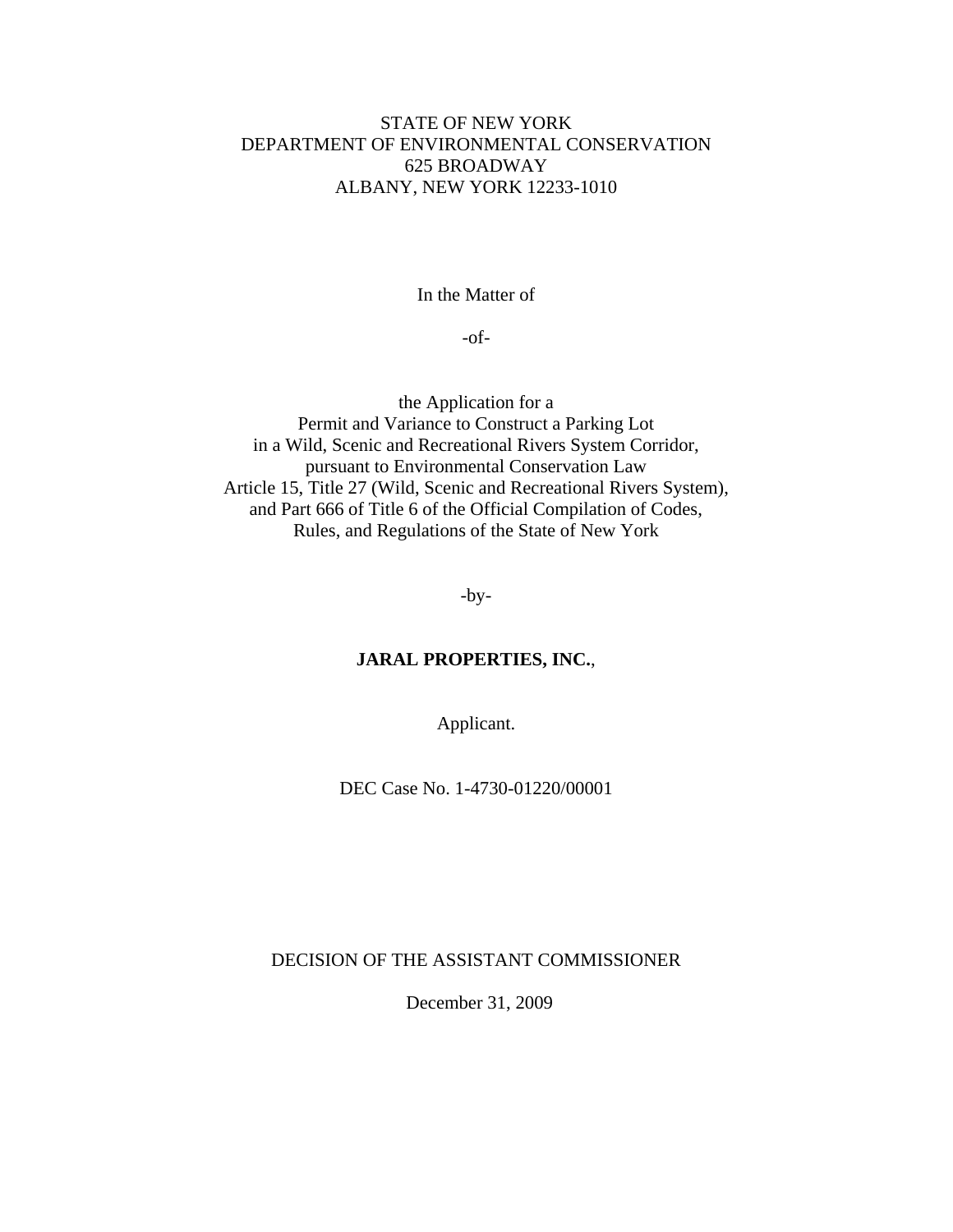# STATE OF NEW YORK DEPARTMENT OF ENVIRONMENTAL CONSERVATION 625 BROADWAY ALBANY, NEW YORK 12233-1010

In the Matter of

-of-

the Application for a Permit and Variance to Construct a Parking Lot in a Wild, Scenic and Recreational Rivers System Corridor, pursuant to Environmental Conservation Law Article 15, Title 27 (Wild, Scenic and Recreational Rivers System), and Part 666 of Title 6 of the Official Compilation of Codes, Rules, and Regulations of the State of New York

-by-

### **JARAL PROPERTIES, INC.**,

Applicant.

DEC Case No. 1-4730-01220/00001

DECISION OF THE ASSISTANT COMMISSIONER

December 31, 2009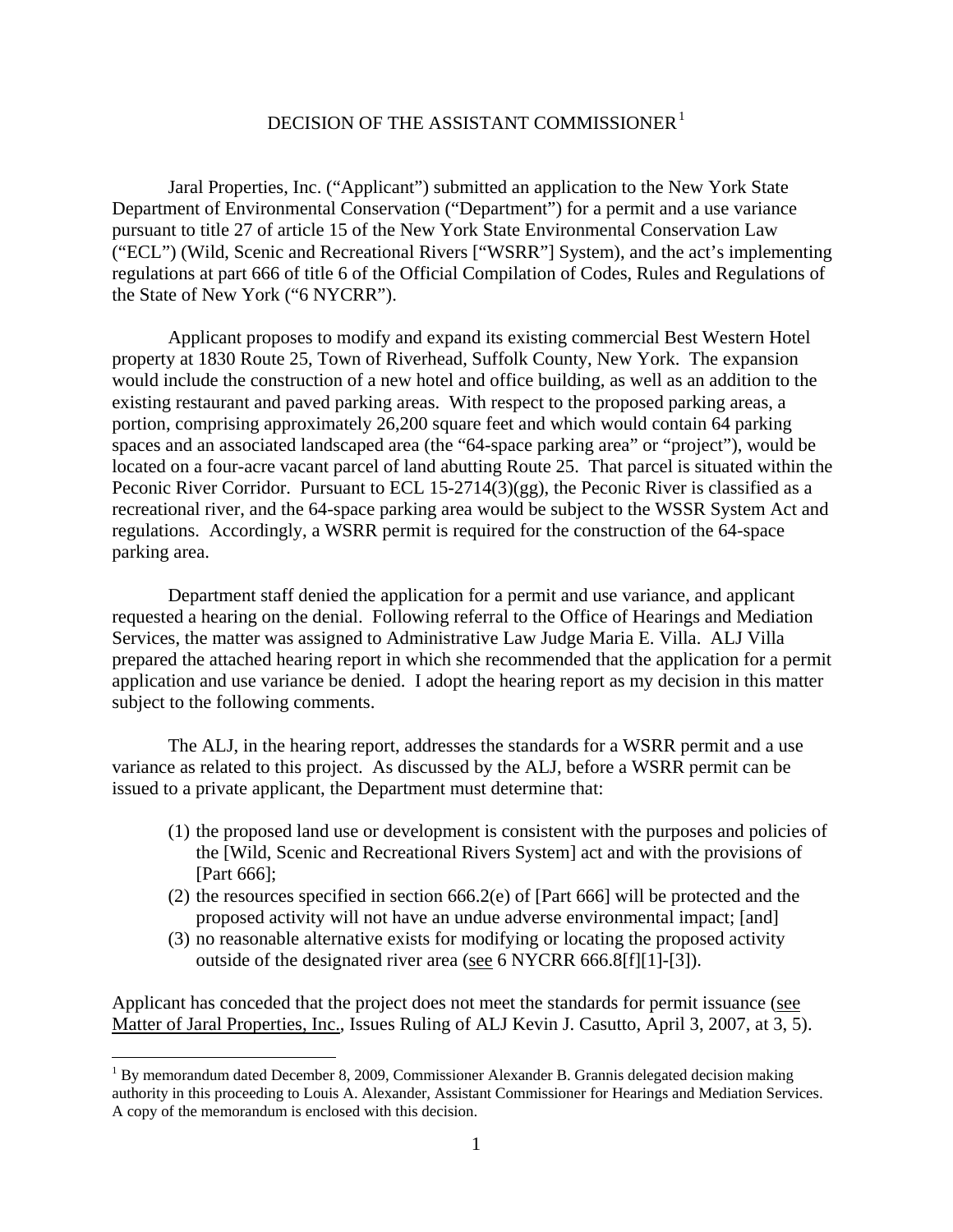# DECISION OF THE ASSISTANT COMMISSIONER<sup>1</sup>

Jaral Properties, Inc. ("Applicant") submitted an application to the New York State Department of Environmental Conservation ("Department") for a permit and a use variance pursuant to title 27 of article 15 of the New York State Environmental Conservation Law ("ECL") (Wild, Scenic and Recreational Rivers ["WSRR"] System), and the act's implementing regulations at part 666 of title 6 of the Official Compilation of Codes, Rules and Regulations of the State of New York ("6 NYCRR").

Applicant proposes to modify and expand its existing commercial Best Western Hotel property at 1830 Route 25, Town of Riverhead, Suffolk County, New York. The expansion would include the construction of a new hotel and office building, as well as an addition to the existing restaurant and paved parking areas. With respect to the proposed parking areas, a portion, comprising approximately 26,200 square feet and which would contain 64 parking spaces and an associated landscaped area (the "64-space parking area" or "project"), would be located on a four-acre vacant parcel of land abutting Route 25. That parcel is situated within the Peconic River Corridor. Pursuant to ECL 15-2714(3)(gg), the Peconic River is classified as a recreational river, and the 64-space parking area would be subject to the WSSR System Act and regulations. Accordingly, a WSRR permit is required for the construction of the 64-space parking area.

Department staff denied the application for a permit and use variance, and applicant requested a hearing on the denial. Following referral to the Office of Hearings and Mediation Services, the matter was assigned to Administrative Law Judge Maria E. Villa. ALJ Villa prepared the attached hearing report in which she recommended that the application for a permit application and use variance be denied. I adopt the hearing report as my decision in this matter subject to the following comments.

The ALJ, in the hearing report, addresses the standards for a WSRR permit and a use variance as related to this project. As discussed by the ALJ, before a WSRR permit can be issued to a private applicant, the Department must determine that:

- (1) the proposed land use or development is consistent with the purposes and policies of the [Wild, Scenic and Recreational Rivers System] act and with the provisions of [Part 666];
- (2) the resources specified in section 666.2(e) of [Part 666] will be protected and the proposed activity will not have an undue adverse environmental impact; [and]
- (3) no reasonable alternative exists for modifying or locating the proposed activity outside of the designated river area (see 6 NYCRR 666.8[f][1]-[3]).

Applicant has conceded that the project does not meet the standards for permit issuance (see Matter of Jaral Properties, Inc., Issues Ruling of ALJ Kevin J. Casutto, April 3, 2007, at 3, 5).

 $\overline{a}$ 

 $1$  By memorandum dated December 8, 2009, Commissioner Alexander B. Grannis delegated decision making authority in this proceeding to Louis A. Alexander, Assistant Commissioner for Hearings and Mediation Services. A copy of the memorandum is enclosed with this decision.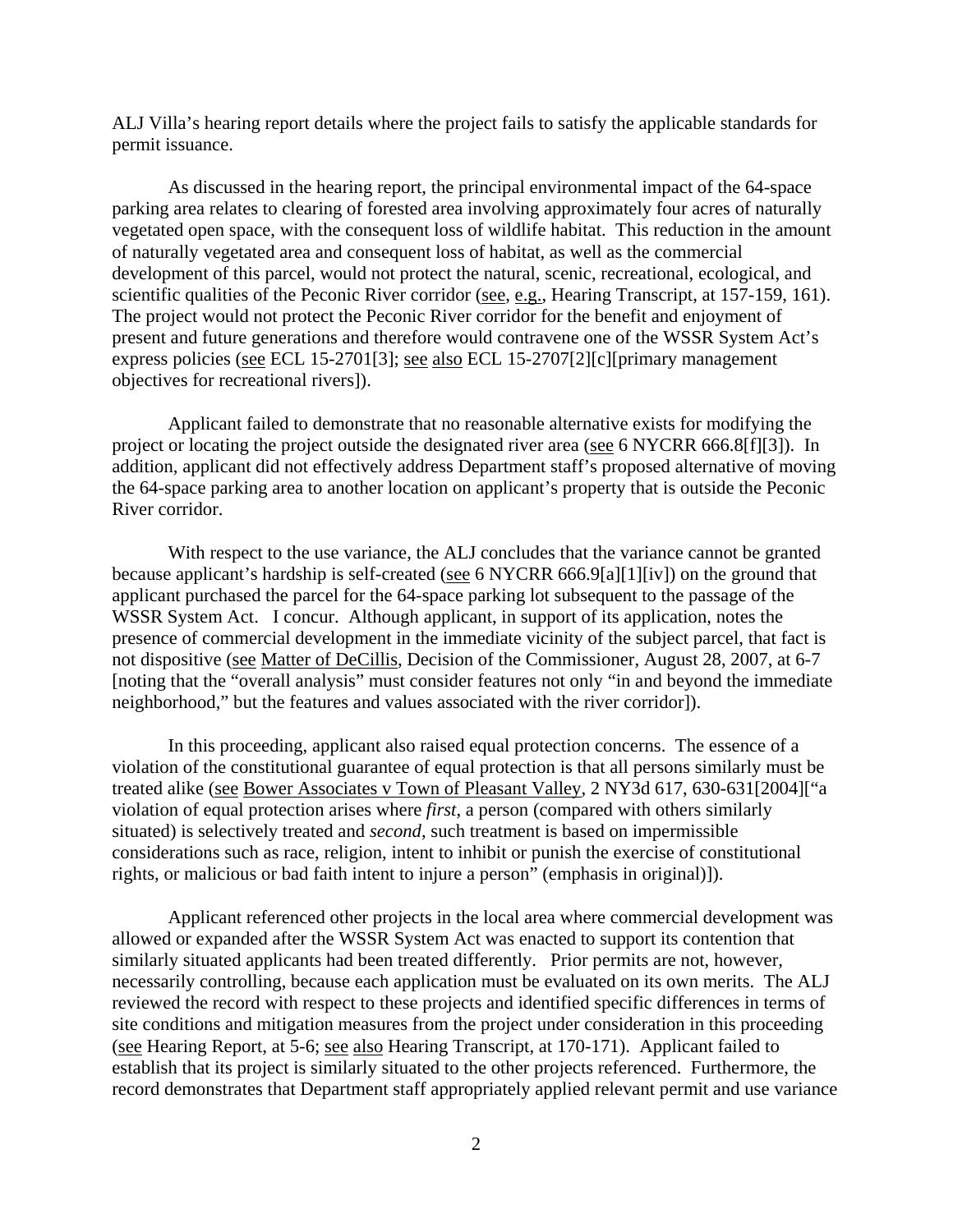ALJ Villa's hearing report details where the project fails to satisfy the applicable standards for permit issuance.

As discussed in the hearing report, the principal environmental impact of the 64-space parking area relates to clearing of forested area involving approximately four acres of naturally vegetated open space, with the consequent loss of wildlife habitat. This reduction in the amount of naturally vegetated area and consequent loss of habitat, as well as the commercial development of this parcel, would not protect the natural, scenic, recreational, ecological, and scientific qualities of the Peconic River corridor (see, e.g., Hearing Transcript, at 157-159, 161). The project would not protect the Peconic River corridor for the benefit and enjoyment of present and future generations and therefore would contravene one of the WSSR System Act's express policies (see ECL 15-2701[3]; see also ECL 15-2707[2][c][primary management objectives for recreational rivers]).

 Applicant failed to demonstrate that no reasonable alternative exists for modifying the project or locating the project outside the designated river area (see 6 NYCRR 666.8[f][3]). In addition, applicant did not effectively address Department staff's proposed alternative of moving the 64-space parking area to another location on applicant's property that is outside the Peconic River corridor.

With respect to the use variance, the ALJ concludes that the variance cannot be granted because applicant's hardship is self-created (see 6 NYCRR 666.9[a][1][iv]) on the ground that applicant purchased the parcel for the 64-space parking lot subsequent to the passage of the WSSR System Act. I concur. Although applicant, in support of its application, notes the presence of commercial development in the immediate vicinity of the subject parcel, that fact is not dispositive (see Matter of DeCillis, Decision of the Commissioner, August 28, 2007, at 6-7 [noting that the "overall analysis" must consider features not only "in and beyond the immediate neighborhood," but the features and values associated with the river corridor]).

In this proceeding, applicant also raised equal protection concerns. The essence of a violation of the constitutional guarantee of equal protection is that all persons similarly must be treated alike (see Bower Associates v Town of Pleasant Valley, 2 NY3d 617, 630-631[2004]["a violation of equal protection arises where *first*, a person (compared with others similarly situated) is selectively treated and *second*, such treatment is based on impermissible considerations such as race, religion, intent to inhibit or punish the exercise of constitutional rights, or malicious or bad faith intent to injure a person" (emphasis in original)]).

Applicant referenced other projects in the local area where commercial development was allowed or expanded after the WSSR System Act was enacted to support its contention that similarly situated applicants had been treated differently. Prior permits are not, however, necessarily controlling, because each application must be evaluated on its own merits. The ALJ reviewed the record with respect to these projects and identified specific differences in terms of site conditions and mitigation measures from the project under consideration in this proceeding (see Hearing Report, at 5-6; see also Hearing Transcript, at 170-171). Applicant failed to establish that its project is similarly situated to the other projects referenced. Furthermore, the record demonstrates that Department staff appropriately applied relevant permit and use variance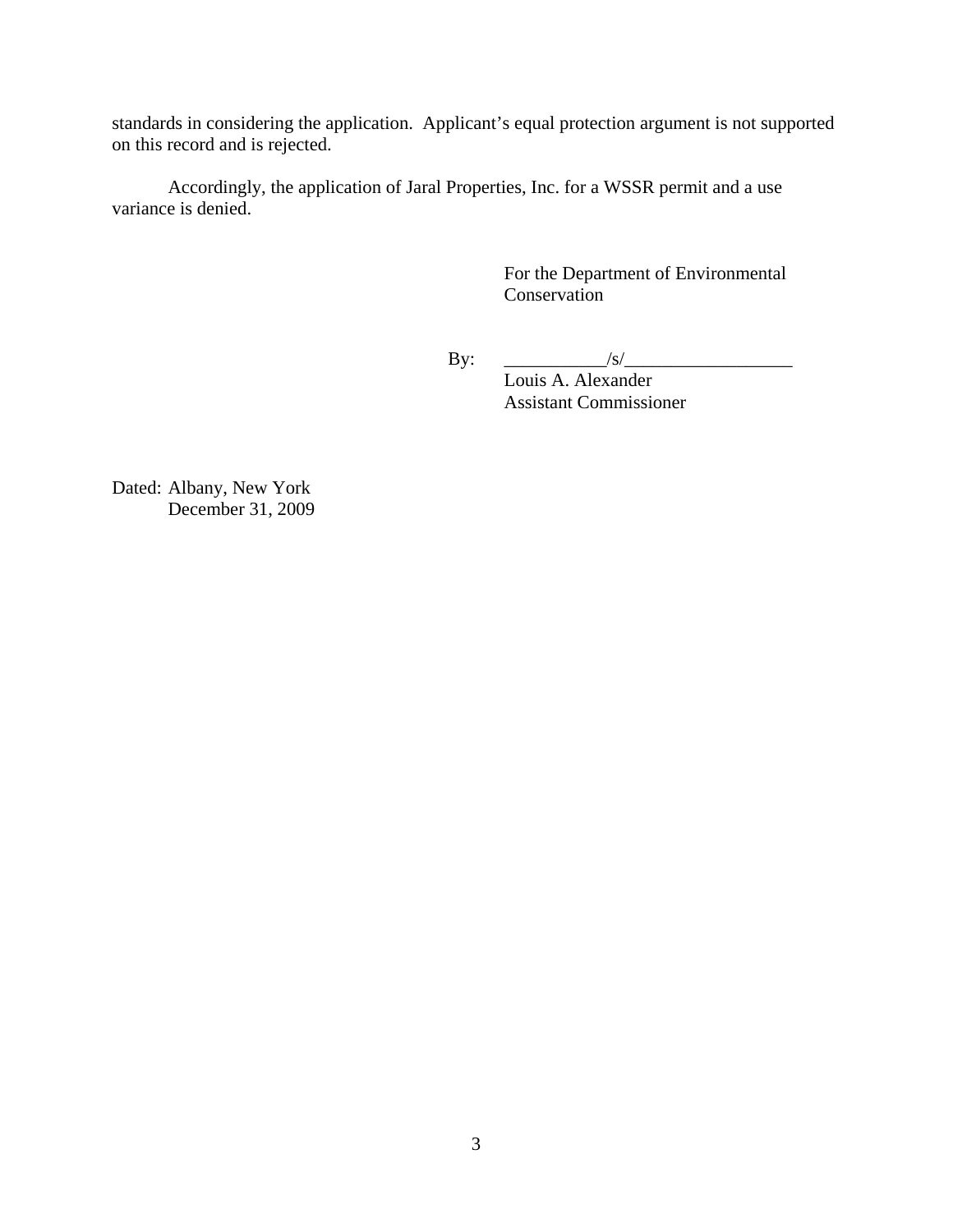standards in considering the application. Applicant's equal protection argument is not supported on this record and is rejected.

Accordingly, the application of Jaral Properties, Inc. for a WSSR permit and a use variance is denied.

> For the Department of Environmental Conservation

By:  $\frac{|S|}{|S|}$ 

 Louis A. Alexander Assistant Commissioner

Dated: Albany, New York December 31, 2009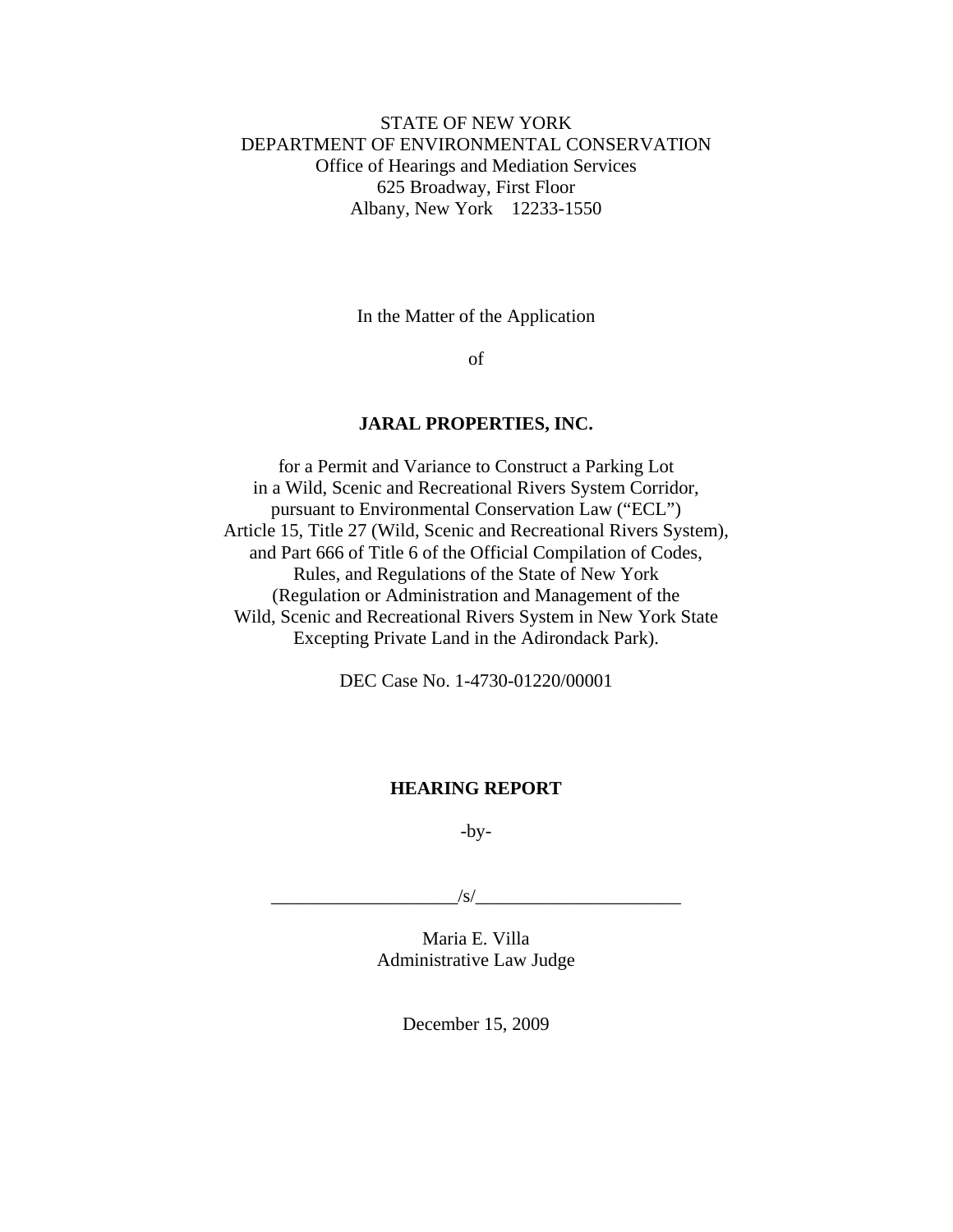# STATE OF NEW YORK DEPARTMENT OF ENVIRONMENTAL CONSERVATION Office of Hearings and Mediation Services 625 Broadway, First Floor Albany, New York 12233-1550

In the Matter of the Application

of

#### **JARAL PROPERTIES, INC.**

for a Permit and Variance to Construct a Parking Lot in a Wild, Scenic and Recreational Rivers System Corridor, pursuant to Environmental Conservation Law ("ECL") Article 15, Title 27 (Wild, Scenic and Recreational Rivers System), and Part 666 of Title 6 of the Official Compilation of Codes, Rules, and Regulations of the State of New York (Regulation or Administration and Management of the Wild, Scenic and Recreational Rivers System in New York State Excepting Private Land in the Adirondack Park).

DEC Case No. 1-4730-01220/00001

# **HEARING REPORT**

 $-by-$ 

 $\frac{|S|}{|S|}$ 

Maria E. Villa Administrative Law Judge

December 15, 2009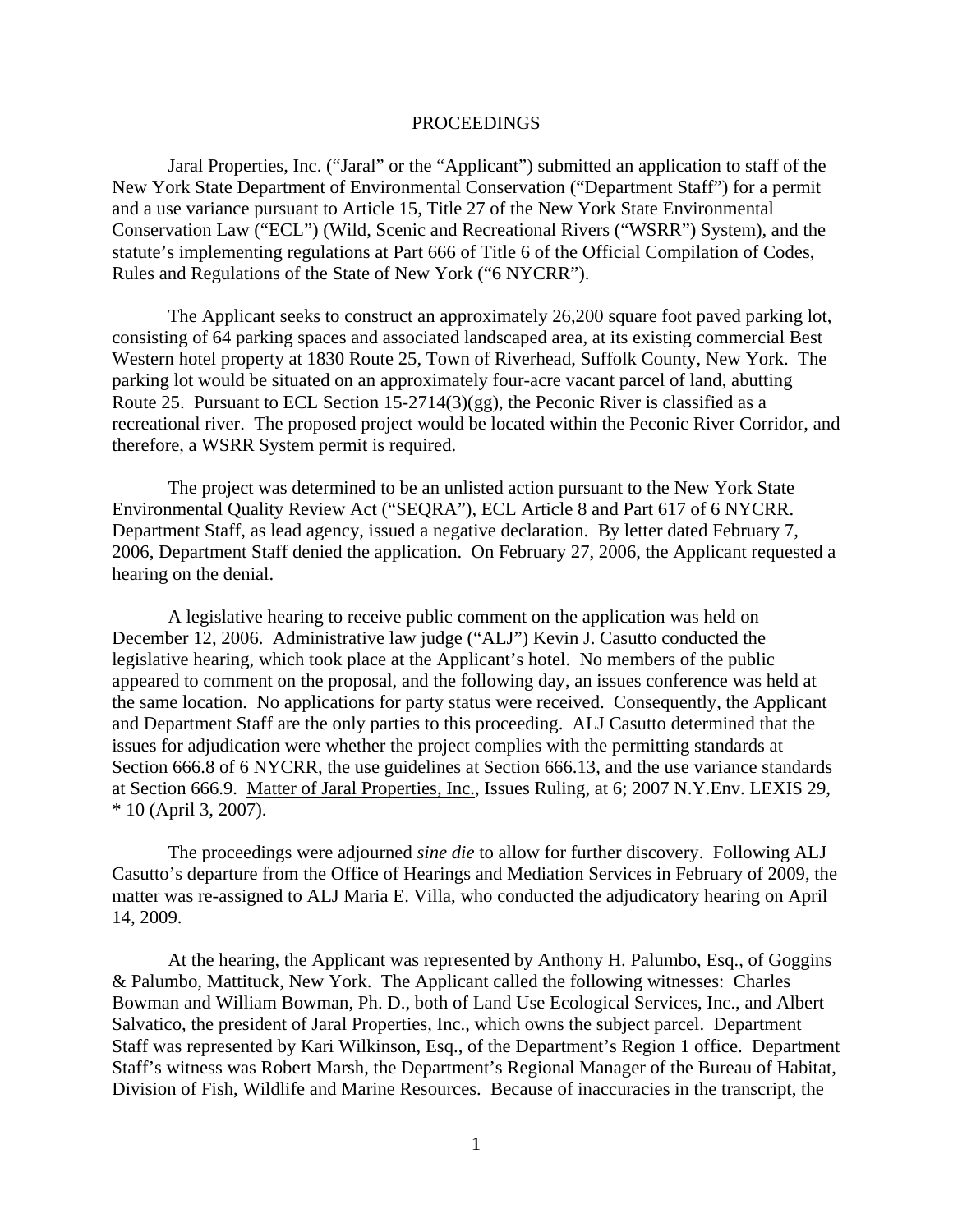#### PROCEEDINGS

 Jaral Properties, Inc. ("Jaral" or the "Applicant") submitted an application to staff of the New York State Department of Environmental Conservation ("Department Staff") for a permit and a use variance pursuant to Article 15, Title 27 of the New York State Environmental Conservation Law ("ECL") (Wild, Scenic and Recreational Rivers ("WSRR") System), and the statute's implementing regulations at Part 666 of Title 6 of the Official Compilation of Codes, Rules and Regulations of the State of New York ("6 NYCRR").

The Applicant seeks to construct an approximately 26,200 square foot paved parking lot, consisting of 64 parking spaces and associated landscaped area, at its existing commercial Best Western hotel property at 1830 Route 25, Town of Riverhead, Suffolk County, New York. The parking lot would be situated on an approximately four-acre vacant parcel of land, abutting Route 25. Pursuant to ECL Section 15-2714(3)(gg), the Peconic River is classified as a recreational river. The proposed project would be located within the Peconic River Corridor, and therefore, a WSRR System permit is required.

 The project was determined to be an unlisted action pursuant to the New York State Environmental Quality Review Act ("SEQRA"), ECL Article 8 and Part 617 of 6 NYCRR. Department Staff, as lead agency, issued a negative declaration. By letter dated February 7, 2006, Department Staff denied the application. On February 27, 2006, the Applicant requested a hearing on the denial.

 A legislative hearing to receive public comment on the application was held on December 12, 2006. Administrative law judge ("ALJ") Kevin J. Casutto conducted the legislative hearing, which took place at the Applicant's hotel. No members of the public appeared to comment on the proposal, and the following day, an issues conference was held at the same location. No applications for party status were received. Consequently, the Applicant and Department Staff are the only parties to this proceeding. ALJ Casutto determined that the issues for adjudication were whether the project complies with the permitting standards at Section 666.8 of 6 NYCRR, the use guidelines at Section 666.13, and the use variance standards at Section 666.9. Matter of Jaral Properties, Inc., Issues Ruling, at 6; 2007 N.Y.Env. LEXIS 29, \* 10 (April 3, 2007).

The proceedings were adjourned *sine die* to allow for further discovery. Following ALJ Casutto's departure from the Office of Hearings and Mediation Services in February of 2009, the matter was re-assigned to ALJ Maria E. Villa, who conducted the adjudicatory hearing on April 14, 2009.

 At the hearing, the Applicant was represented by Anthony H. Palumbo, Esq., of Goggins & Palumbo, Mattituck, New York. The Applicant called the following witnesses: Charles Bowman and William Bowman, Ph. D., both of Land Use Ecological Services, Inc., and Albert Salvatico, the president of Jaral Properties, Inc., which owns the subject parcel. Department Staff was represented by Kari Wilkinson, Esq., of the Department's Region 1 office. Department Staff's witness was Robert Marsh, the Department's Regional Manager of the Bureau of Habitat, Division of Fish, Wildlife and Marine Resources. Because of inaccuracies in the transcript, the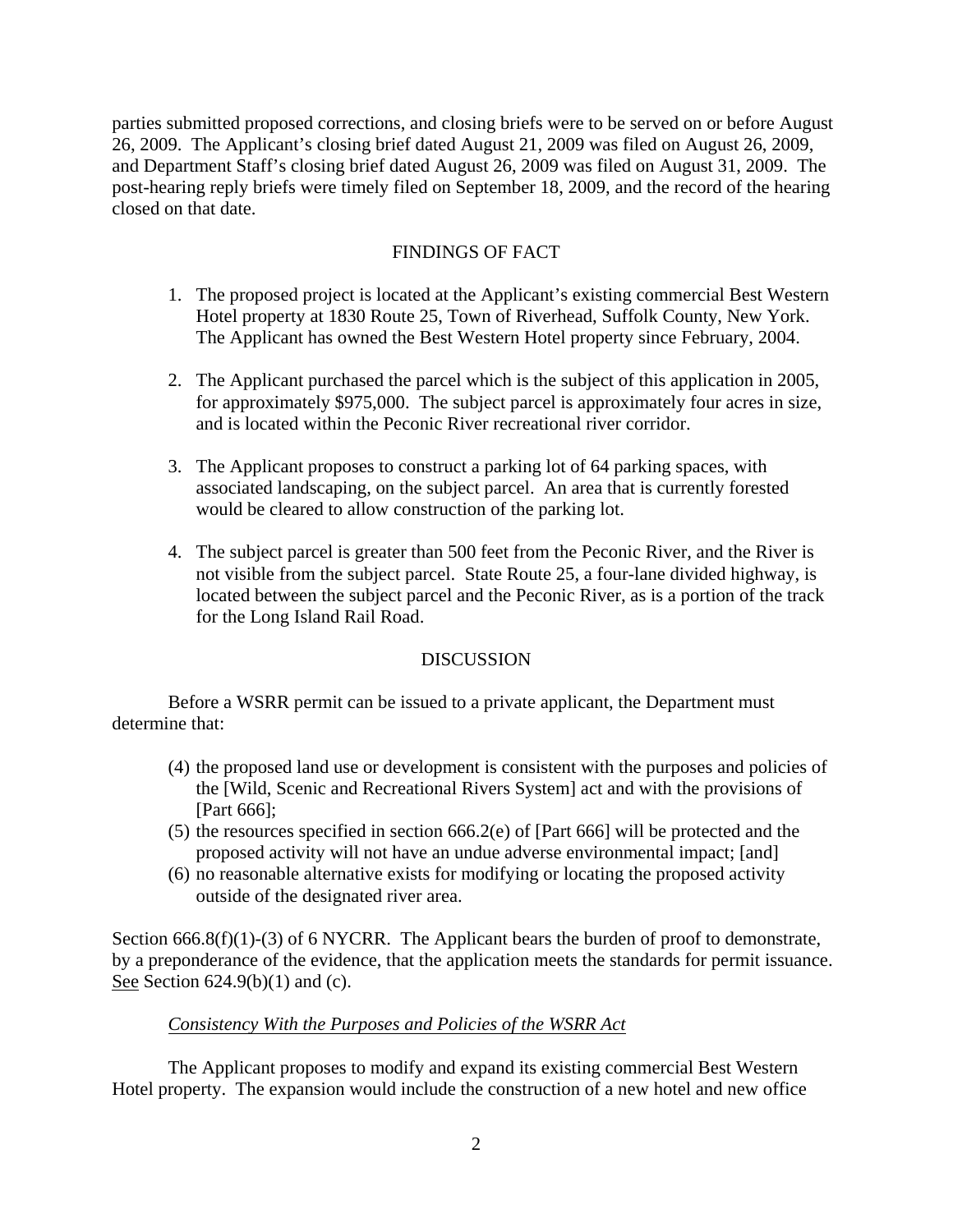parties submitted proposed corrections, and closing briefs were to be served on or before August 26, 2009. The Applicant's closing brief dated August 21, 2009 was filed on August 26, 2009, and Department Staff's closing brief dated August 26, 2009 was filed on August 31, 2009. The post-hearing reply briefs were timely filed on September 18, 2009, and the record of the hearing closed on that date.

# FINDINGS OF FACT

- 1. The proposed project is located at the Applicant's existing commercial Best Western Hotel property at 1830 Route 25, Town of Riverhead, Suffolk County, New York. The Applicant has owned the Best Western Hotel property since February, 2004.
- 2. The Applicant purchased the parcel which is the subject of this application in 2005, for approximately \$975,000. The subject parcel is approximately four acres in size, and is located within the Peconic River recreational river corridor.
- 3. The Applicant proposes to construct a parking lot of 64 parking spaces, with associated landscaping, on the subject parcel. An area that is currently forested would be cleared to allow construction of the parking lot.
- 4. The subject parcel is greater than 500 feet from the Peconic River, and the River is not visible from the subject parcel. State Route 25, a four-lane divided highway, is located between the subject parcel and the Peconic River, as is a portion of the track for the Long Island Rail Road.

## DISCUSSION

 Before a WSRR permit can be issued to a private applicant, the Department must determine that:

- (4) the proposed land use or development is consistent with the purposes and policies of the [Wild, Scenic and Recreational Rivers System] act and with the provisions of [Part 666];
- (5) the resources specified in section 666.2(e) of [Part 666] will be protected and the proposed activity will not have an undue adverse environmental impact; [and]
- (6) no reasonable alternative exists for modifying or locating the proposed activity outside of the designated river area.

Section 666.8(f)(1)-(3) of 6 NYCRR. The Applicant bears the burden of proof to demonstrate, by a preponderance of the evidence, that the application meets the standards for permit issuance. See Section  $624.9(b)(1)$  and (c).

## *Consistency With the Purposes and Policies of the WSRR Act*

 The Applicant proposes to modify and expand its existing commercial Best Western Hotel property. The expansion would include the construction of a new hotel and new office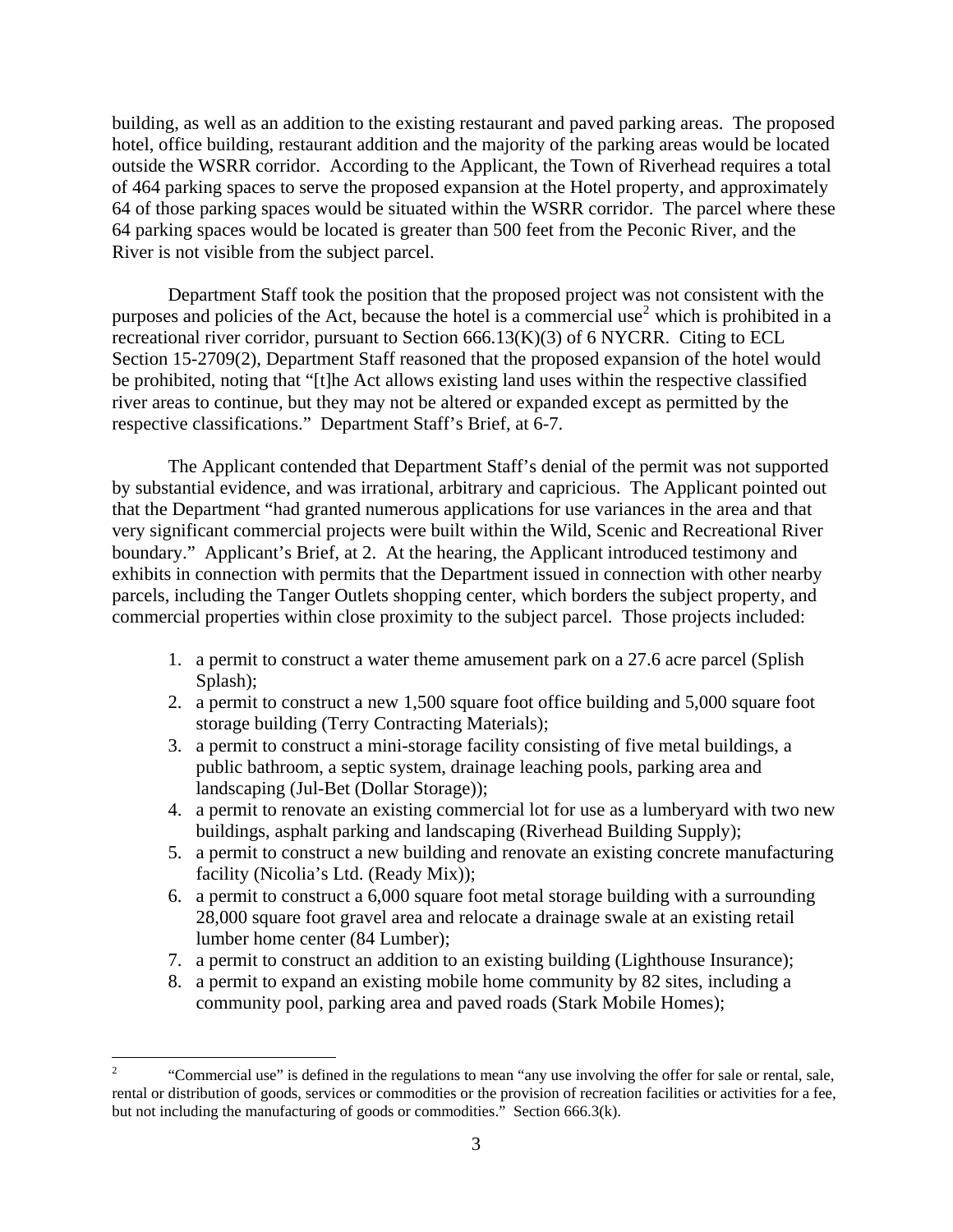building, as well as an addition to the existing restaurant and paved parking areas. The proposed hotel, office building, restaurant addition and the majority of the parking areas would be located outside the WSRR corridor. According to the Applicant, the Town of Riverhead requires a total of 464 parking spaces to serve the proposed expansion at the Hotel property, and approximately 64 of those parking spaces would be situated within the WSRR corridor. The parcel where these 64 parking spaces would be located is greater than 500 feet from the Peconic River, and the River is not visible from the subject parcel.

 Department Staff took the position that the proposed project was not consistent with the purposes and policies of the Act, because the hotel is a commercial use<sup>[2](#page-7-0)</sup> which is prohibited in a recreational river corridor, pursuant to Section 666.13(K)(3) of 6 NYCRR. Citing to ECL Section 15-2709(2), Department Staff reasoned that the proposed expansion of the hotel would be prohibited, noting that "[t]he Act allows existing land uses within the respective classified river areas to continue, but they may not be altered or expanded except as permitted by the respective classifications." Department Staff's Brief, at 6-7.

 The Applicant contended that Department Staff's denial of the permit was not supported by substantial evidence, and was irrational, arbitrary and capricious. The Applicant pointed out that the Department "had granted numerous applications for use variances in the area and that very significant commercial projects were built within the Wild, Scenic and Recreational River boundary." Applicant's Brief, at 2. At the hearing, the Applicant introduced testimony and exhibits in connection with permits that the Department issued in connection with other nearby parcels, including the Tanger Outlets shopping center, which borders the subject property, and commercial properties within close proximity to the subject parcel. Those projects included:

- 1. a permit to construct a water theme amusement park on a 27.6 acre parcel (Splish Splash);
- 2. a permit to construct a new 1,500 square foot office building and 5,000 square foot storage building (Terry Contracting Materials);
- 3. a permit to construct a mini-storage facility consisting of five metal buildings, a public bathroom, a septic system, drainage leaching pools, parking area and landscaping (Jul-Bet (Dollar Storage));
- 4. a permit to renovate an existing commercial lot for use as a lumberyard with two new buildings, asphalt parking and landscaping (Riverhead Building Supply);
- 5. a permit to construct a new building and renovate an existing concrete manufacturing facility (Nicolia's Ltd. (Ready Mix));
- 6. a permit to construct a 6,000 square foot metal storage building with a surrounding 28,000 square foot gravel area and relocate a drainage swale at an existing retail lumber home center (84 Lumber);
- 7. a permit to construct an addition to an existing building (Lighthouse Insurance);
- 8. a permit to expand an existing mobile home community by 82 sites, including a community pool, parking area and paved roads (Stark Mobile Homes);

 $\overline{a}$ 

<span id="page-7-0"></span><sup>2</sup> "Commercial use" is defined in the regulations to mean "any use involving the offer for sale or rental, sale, rental or distribution of goods, services or commodities or the provision of recreation facilities or activities for a fee, but not including the manufacturing of goods or commodities." Section 666.3(k).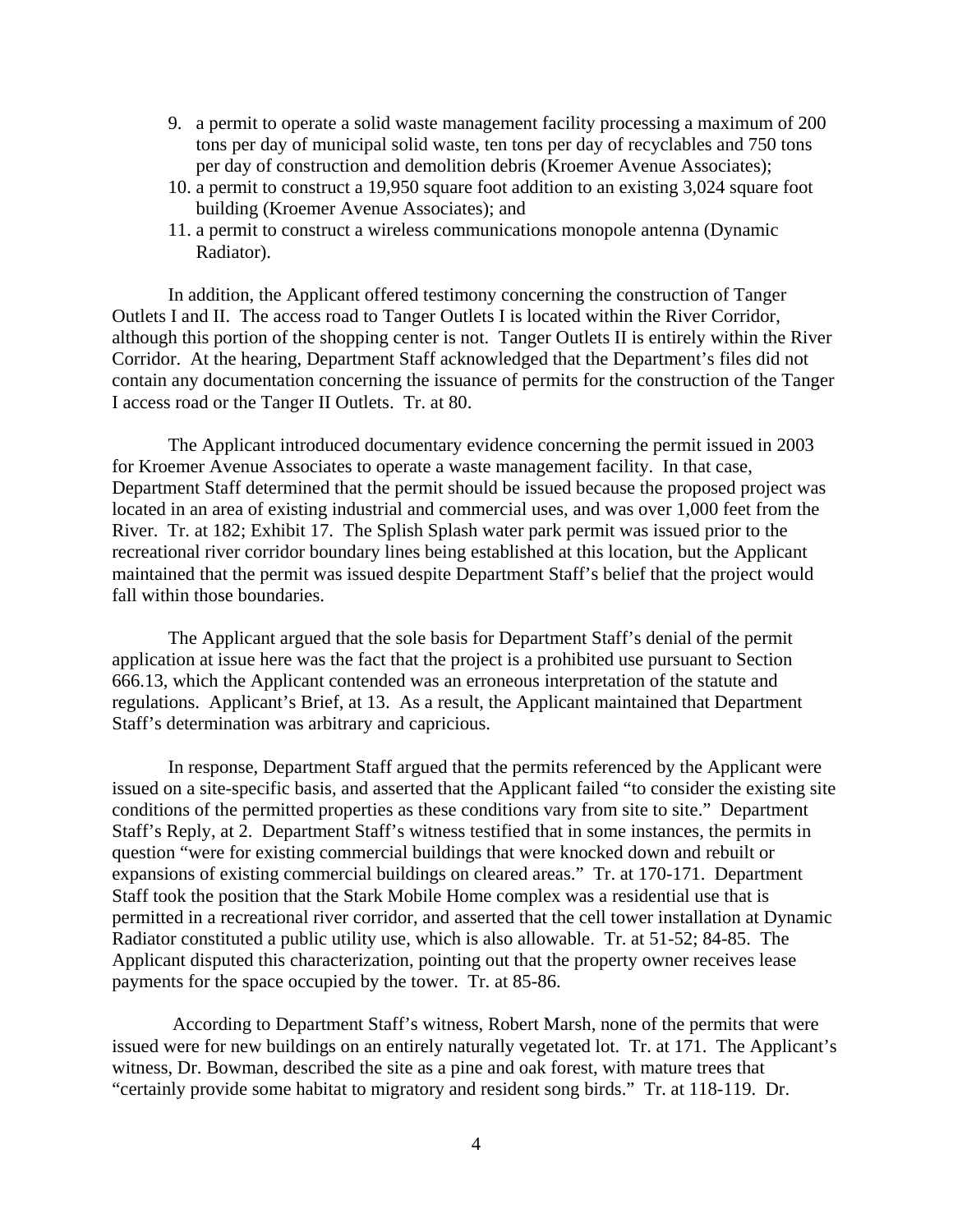- 9. a permit to operate a solid waste management facility processing a maximum of 200 tons per day of municipal solid waste, ten tons per day of recyclables and 750 tons per day of construction and demolition debris (Kroemer Avenue Associates);
- 10. a permit to construct a 19,950 square foot addition to an existing 3,024 square foot building (Kroemer Avenue Associates); and
- 11. a permit to construct a wireless communications monopole antenna (Dynamic Radiator).

In addition, the Applicant offered testimony concerning the construction of Tanger Outlets I and II. The access road to Tanger Outlets I is located within the River Corridor, although this portion of the shopping center is not. Tanger Outlets II is entirely within the River Corridor. At the hearing, Department Staff acknowledged that the Department's files did not contain any documentation concerning the issuance of permits for the construction of the Tanger I access road or the Tanger II Outlets. Tr. at 80.

The Applicant introduced documentary evidence concerning the permit issued in 2003 for Kroemer Avenue Associates to operate a waste management facility. In that case, Department Staff determined that the permit should be issued because the proposed project was located in an area of existing industrial and commercial uses, and was over 1,000 feet from the River. Tr. at 182; Exhibit 17. The Splish Splash water park permit was issued prior to the recreational river corridor boundary lines being established at this location, but the Applicant maintained that the permit was issued despite Department Staff's belief that the project would fall within those boundaries.

The Applicant argued that the sole basis for Department Staff's denial of the permit application at issue here was the fact that the project is a prohibited use pursuant to Section 666.13, which the Applicant contended was an erroneous interpretation of the statute and regulations. Applicant's Brief, at 13. As a result, the Applicant maintained that Department Staff's determination was arbitrary and capricious.

In response, Department Staff argued that the permits referenced by the Applicant were issued on a site-specific basis, and asserted that the Applicant failed "to consider the existing site conditions of the permitted properties as these conditions vary from site to site." Department Staff's Reply, at 2. Department Staff's witness testified that in some instances, the permits in question "were for existing commercial buildings that were knocked down and rebuilt or expansions of existing commercial buildings on cleared areas." Tr. at 170-171. Department Staff took the position that the Stark Mobile Home complex was a residential use that is permitted in a recreational river corridor, and asserted that the cell tower installation at Dynamic Radiator constituted a public utility use, which is also allowable. Tr. at 51-52; 84-85. The Applicant disputed this characterization, pointing out that the property owner receives lease payments for the space occupied by the tower. Tr. at 85-86.

 According to Department Staff's witness, Robert Marsh, none of the permits that were issued were for new buildings on an entirely naturally vegetated lot. Tr. at 171. The Applicant's witness, Dr. Bowman, described the site as a pine and oak forest, with mature trees that "certainly provide some habitat to migratory and resident song birds." Tr. at 118-119. Dr.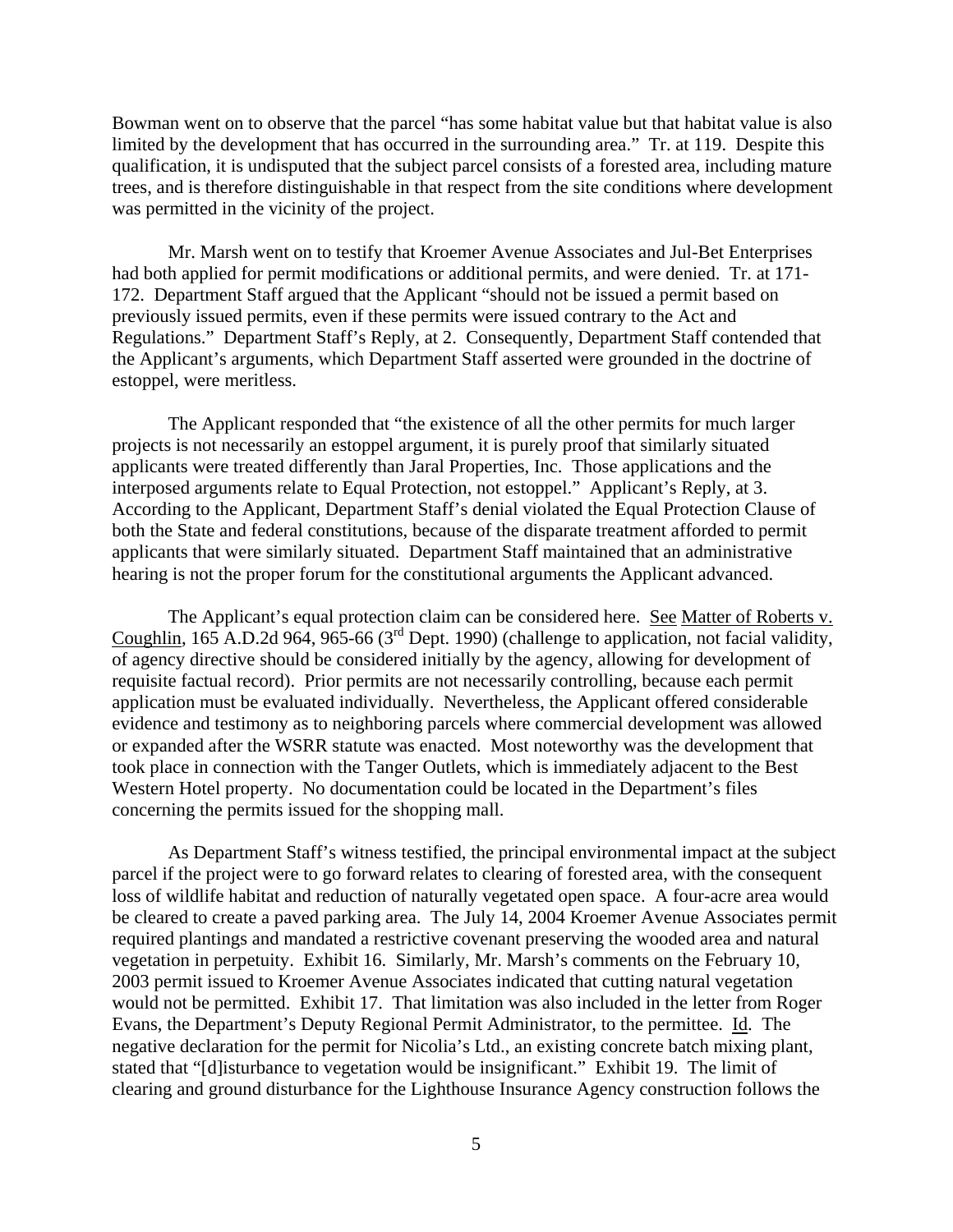Bowman went on to observe that the parcel "has some habitat value but that habitat value is also limited by the development that has occurred in the surrounding area." Tr. at 119. Despite this qualification, it is undisputed that the subject parcel consists of a forested area, including mature trees, and is therefore distinguishable in that respect from the site conditions where development was permitted in the vicinity of the project.

Mr. Marsh went on to testify that Kroemer Avenue Associates and Jul-Bet Enterprises had both applied for permit modifications or additional permits, and were denied. Tr. at 171- 172. Department Staff argued that the Applicant "should not be issued a permit based on previously issued permits, even if these permits were issued contrary to the Act and Regulations." Department Staff's Reply, at 2. Consequently, Department Staff contended that the Applicant's arguments, which Department Staff asserted were grounded in the doctrine of estoppel, were meritless.

 The Applicant responded that "the existence of all the other permits for much larger projects is not necessarily an estoppel argument, it is purely proof that similarly situated applicants were treated differently than Jaral Properties, Inc. Those applications and the interposed arguments relate to Equal Protection, not estoppel." Applicant's Reply, at 3. According to the Applicant, Department Staff's denial violated the Equal Protection Clause of both the State and federal constitutions, because of the disparate treatment afforded to permit applicants that were similarly situated. Department Staff maintained that an administrative hearing is not the proper forum for the constitutional arguments the Applicant advanced.

The Applicant's equal protection claim can be considered here. See Matter of Roberts v. Coughlin, 165 A.D.2d 964, 965-66 (3rd Dept. 1990) (challenge to application, not facial validity, of agency directive should be considered initially by the agency, allowing for development of requisite factual record). Prior permits are not necessarily controlling, because each permit application must be evaluated individually. Nevertheless, the Applicant offered considerable evidence and testimony as to neighboring parcels where commercial development was allowed or expanded after the WSRR statute was enacted. Most noteworthy was the development that took place in connection with the Tanger Outlets, which is immediately adjacent to the Best Western Hotel property. No documentation could be located in the Department's files concerning the permits issued for the shopping mall.

As Department Staff's witness testified, the principal environmental impact at the subject parcel if the project were to go forward relates to clearing of forested area, with the consequent loss of wildlife habitat and reduction of naturally vegetated open space. A four-acre area would be cleared to create a paved parking area. The July 14, 2004 Kroemer Avenue Associates permit required plantings and mandated a restrictive covenant preserving the wooded area and natural vegetation in perpetuity. Exhibit 16. Similarly, Mr. Marsh's comments on the February 10, 2003 permit issued to Kroemer Avenue Associates indicated that cutting natural vegetation would not be permitted. Exhibit 17. That limitation was also included in the letter from Roger Evans, the Department's Deputy Regional Permit Administrator, to the permittee. Id. The negative declaration for the permit for Nicolia's Ltd., an existing concrete batch mixing plant, stated that "[d]isturbance to vegetation would be insignificant." Exhibit 19. The limit of clearing and ground disturbance for the Lighthouse Insurance Agency construction follows the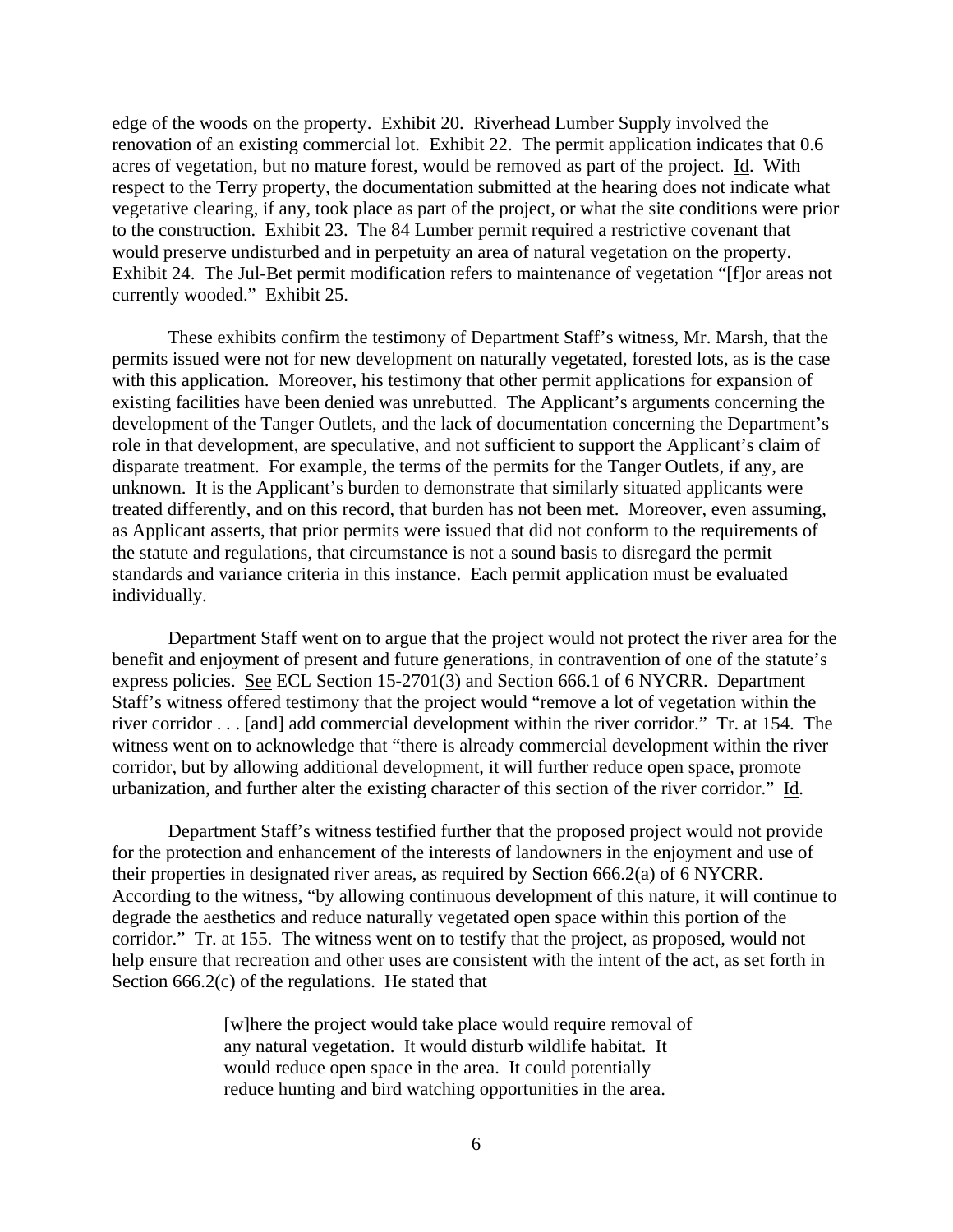edge of the woods on the property. Exhibit 20. Riverhead Lumber Supply involved the renovation of an existing commercial lot. Exhibit 22. The permit application indicates that 0.6 acres of vegetation, but no mature forest, would be removed as part of the project. Id. With respect to the Terry property, the documentation submitted at the hearing does not indicate what vegetative clearing, if any, took place as part of the project, or what the site conditions were prior to the construction. Exhibit 23. The 84 Lumber permit required a restrictive covenant that would preserve undisturbed and in perpetuity an area of natural vegetation on the property. Exhibit 24. The Jul-Bet permit modification refers to maintenance of vegetation "[f]or areas not currently wooded." Exhibit 25.

 These exhibits confirm the testimony of Department Staff's witness, Mr. Marsh, that the permits issued were not for new development on naturally vegetated, forested lots, as is the case with this application. Moreover, his testimony that other permit applications for expansion of existing facilities have been denied was unrebutted. The Applicant's arguments concerning the development of the Tanger Outlets, and the lack of documentation concerning the Department's role in that development, are speculative, and not sufficient to support the Applicant's claim of disparate treatment. For example, the terms of the permits for the Tanger Outlets, if any, are unknown. It is the Applicant's burden to demonstrate that similarly situated applicants were treated differently, and on this record, that burden has not been met. Moreover, even assuming, as Applicant asserts, that prior permits were issued that did not conform to the requirements of the statute and regulations, that circumstance is not a sound basis to disregard the permit standards and variance criteria in this instance. Each permit application must be evaluated individually.

 Department Staff went on to argue that the project would not protect the river area for the benefit and enjoyment of present and future generations, in contravention of one of the statute's express policies. See ECL Section 15-2701(3) and Section 666.1 of 6 NYCRR. Department Staff's witness offered testimony that the project would "remove a lot of vegetation within the river corridor . . . [and] add commercial development within the river corridor." Tr. at 154. The witness went on to acknowledge that "there is already commercial development within the river corridor, but by allowing additional development, it will further reduce open space, promote urbanization, and further alter the existing character of this section of the river corridor." Id.

 Department Staff's witness testified further that the proposed project would not provide for the protection and enhancement of the interests of landowners in the enjoyment and use of their properties in designated river areas, as required by Section 666.2(a) of 6 NYCRR. According to the witness, "by allowing continuous development of this nature, it will continue to degrade the aesthetics and reduce naturally vegetated open space within this portion of the corridor." Tr. at 155. The witness went on to testify that the project, as proposed, would not help ensure that recreation and other uses are consistent with the intent of the act, as set forth in Section 666.2(c) of the regulations. He stated that

> [w]here the project would take place would require removal of any natural vegetation. It would disturb wildlife habitat. It would reduce open space in the area. It could potentially reduce hunting and bird watching opportunities in the area.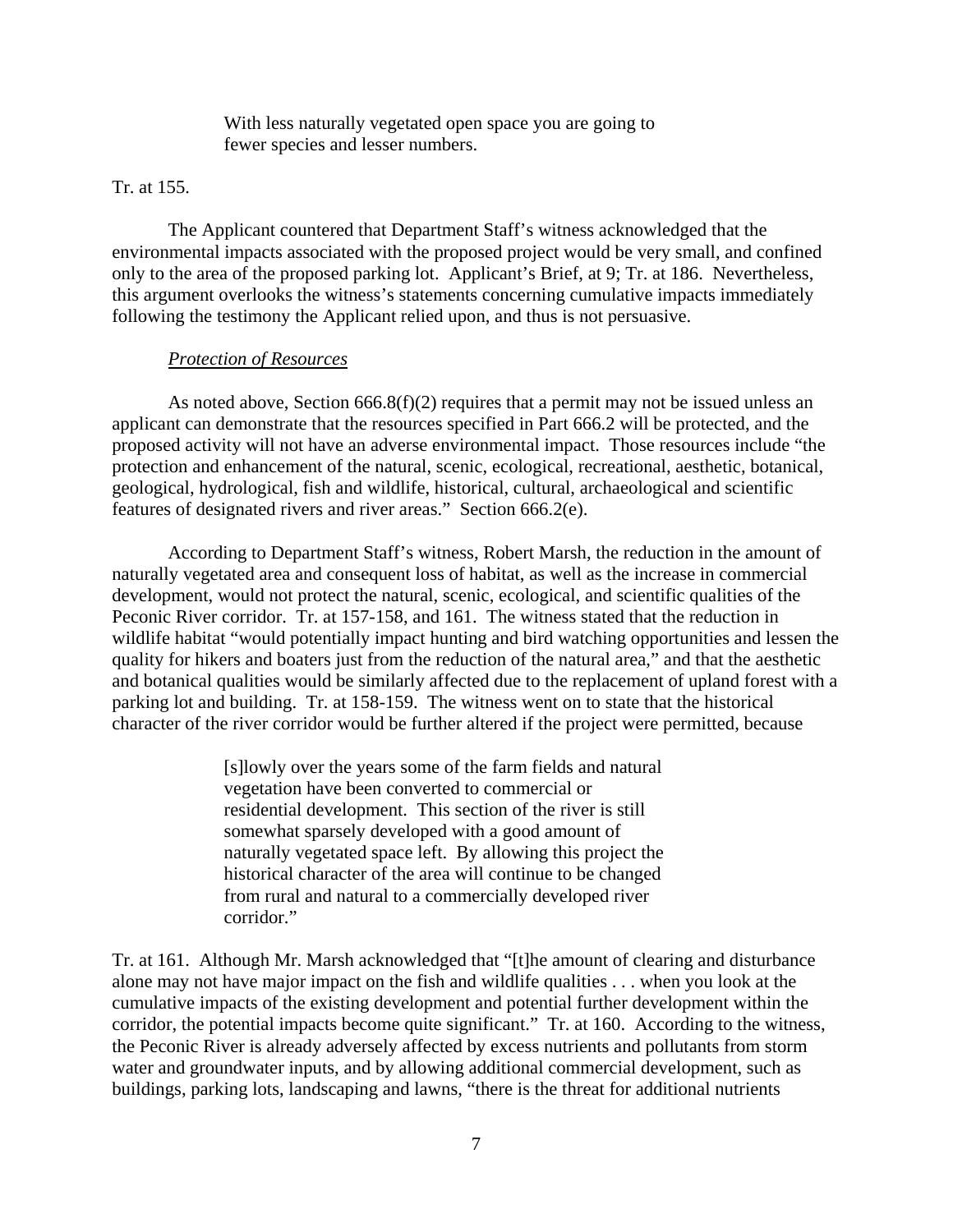With less naturally vegetated open space you are going to fewer species and lesser numbers.

#### Tr. at 155.

 The Applicant countered that Department Staff's witness acknowledged that the environmental impacts associated with the proposed project would be very small, and confined only to the area of the proposed parking lot. Applicant's Brief, at 9; Tr. at 186. Nevertheless, this argument overlooks the witness's statements concerning cumulative impacts immediately following the testimony the Applicant relied upon, and thus is not persuasive.

### *Protection of Resources*

As noted above, Section  $666.8(f)(2)$  requires that a permit may not be issued unless an applicant can demonstrate that the resources specified in Part 666.2 will be protected, and the proposed activity will not have an adverse environmental impact. Those resources include "the protection and enhancement of the natural, scenic, ecological, recreational, aesthetic, botanical, geological, hydrological, fish and wildlife, historical, cultural, archaeological and scientific features of designated rivers and river areas." Section 666.2(e).

 According to Department Staff's witness, Robert Marsh, the reduction in the amount of naturally vegetated area and consequent loss of habitat, as well as the increase in commercial development, would not protect the natural, scenic, ecological, and scientific qualities of the Peconic River corridor. Tr. at 157-158, and 161. The witness stated that the reduction in wildlife habitat "would potentially impact hunting and bird watching opportunities and lessen the quality for hikers and boaters just from the reduction of the natural area," and that the aesthetic and botanical qualities would be similarly affected due to the replacement of upland forest with a parking lot and building. Tr. at 158-159. The witness went on to state that the historical character of the river corridor would be further altered if the project were permitted, because

> [s]lowly over the years some of the farm fields and natural vegetation have been converted to commercial or residential development. This section of the river is still somewhat sparsely developed with a good amount of naturally vegetated space left. By allowing this project the historical character of the area will continue to be changed from rural and natural to a commercially developed river corridor."

Tr. at 161. Although Mr. Marsh acknowledged that "[t]he amount of clearing and disturbance alone may not have major impact on the fish and wildlife qualities . . . when you look at the cumulative impacts of the existing development and potential further development within the corridor, the potential impacts become quite significant." Tr. at 160. According to the witness, the Peconic River is already adversely affected by excess nutrients and pollutants from storm water and groundwater inputs, and by allowing additional commercial development, such as buildings, parking lots, landscaping and lawns, "there is the threat for additional nutrients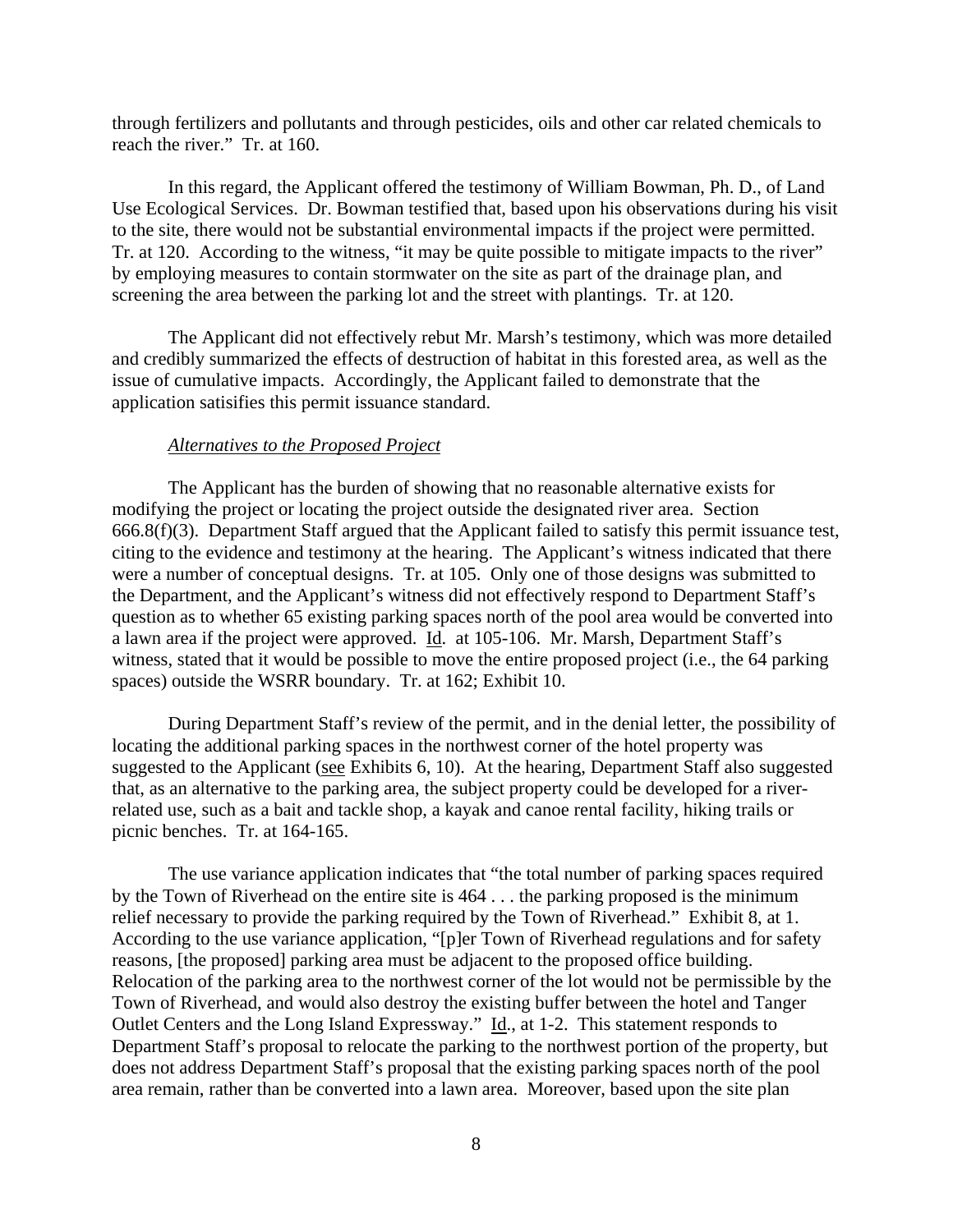through fertilizers and pollutants and through pesticides, oils and other car related chemicals to reach the river." Tr. at 160.

 In this regard, the Applicant offered the testimony of William Bowman, Ph. D., of Land Use Ecological Services. Dr. Bowman testified that, based upon his observations during his visit to the site, there would not be substantial environmental impacts if the project were permitted. Tr. at 120. According to the witness, "it may be quite possible to mitigate impacts to the river" by employing measures to contain stormwater on the site as part of the drainage plan, and screening the area between the parking lot and the street with plantings. Tr. at 120.

 The Applicant did not effectively rebut Mr. Marsh's testimony, which was more detailed and credibly summarized the effects of destruction of habitat in this forested area, as well as the issue of cumulative impacts. Accordingly, the Applicant failed to demonstrate that the application satisifies this permit issuance standard.

#### *Alternatives to the Proposed Project*

The Applicant has the burden of showing that no reasonable alternative exists for modifying the project or locating the project outside the designated river area. Section 666.8(f)(3). Department Staff argued that the Applicant failed to satisfy this permit issuance test, citing to the evidence and testimony at the hearing. The Applicant's witness indicated that there were a number of conceptual designs. Tr. at 105. Only one of those designs was submitted to the Department, and the Applicant's witness did not effectively respond to Department Staff's question as to whether 65 existing parking spaces north of the pool area would be converted into a lawn area if the project were approved. Id. at 105-106. Mr. Marsh, Department Staff's witness, stated that it would be possible to move the entire proposed project (i.e., the 64 parking spaces) outside the WSRR boundary. Tr. at 162; Exhibit 10.

During Department Staff's review of the permit, and in the denial letter, the possibility of locating the additional parking spaces in the northwest corner of the hotel property was suggested to the Applicant (see Exhibits 6, 10). At the hearing, Department Staff also suggested that, as an alternative to the parking area, the subject property could be developed for a riverrelated use, such as a bait and tackle shop, a kayak and canoe rental facility, hiking trails or picnic benches. Tr. at 164-165.

The use variance application indicates that "the total number of parking spaces required by the Town of Riverhead on the entire site is 464 . . . the parking proposed is the minimum relief necessary to provide the parking required by the Town of Riverhead." Exhibit 8, at 1. According to the use variance application, "[p]er Town of Riverhead regulations and for safety reasons, [the proposed] parking area must be adjacent to the proposed office building. Relocation of the parking area to the northwest corner of the lot would not be permissible by the Town of Riverhead, and would also destroy the existing buffer between the hotel and Tanger Outlet Centers and the Long Island Expressway." Id., at 1-2. This statement responds to Department Staff's proposal to relocate the parking to the northwest portion of the property, but does not address Department Staff's proposal that the existing parking spaces north of the pool area remain, rather than be converted into a lawn area. Moreover, based upon the site plan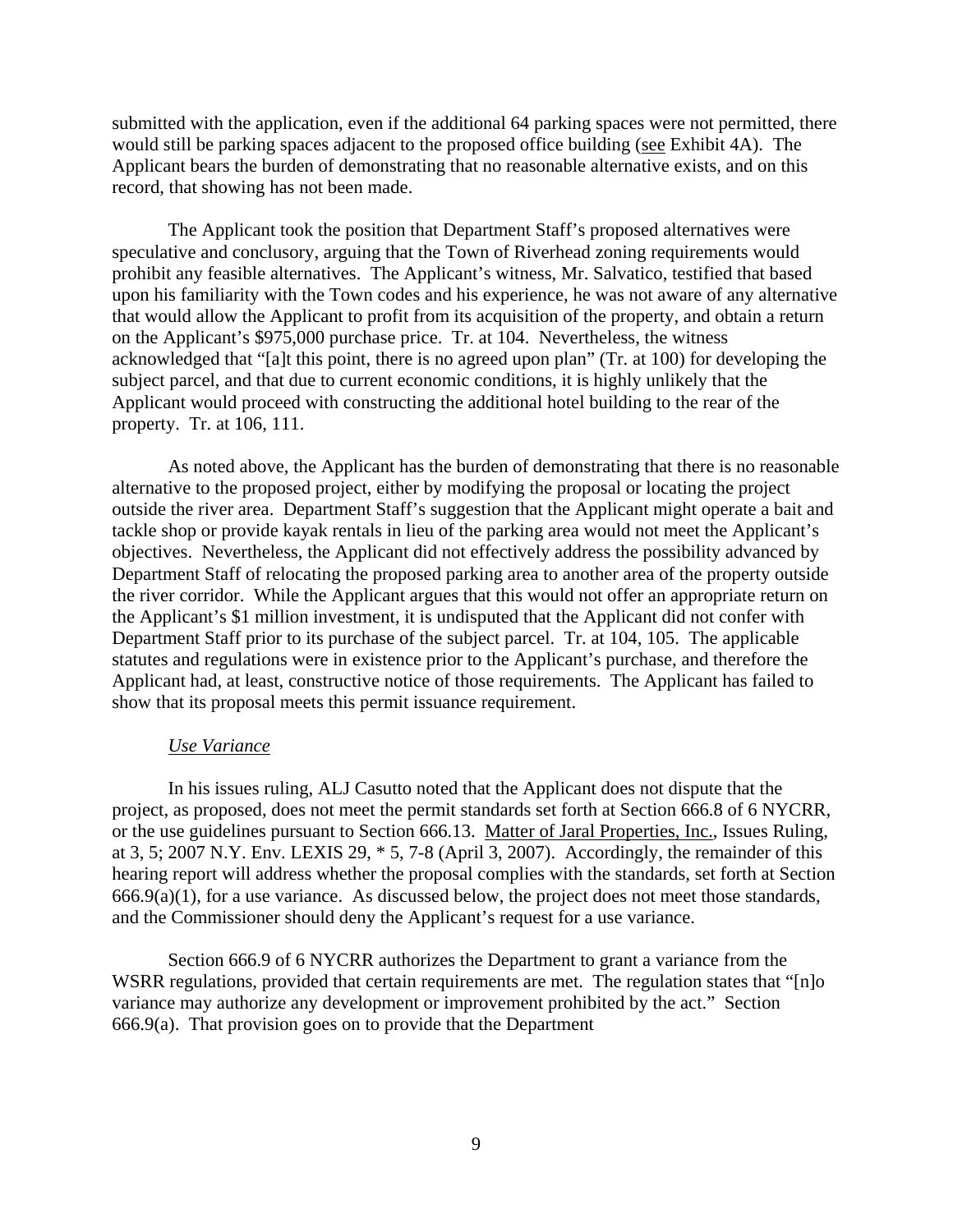submitted with the application, even if the additional 64 parking spaces were not permitted, there would still be parking spaces adjacent to the proposed office building (see Exhibit 4A). The Applicant bears the burden of demonstrating that no reasonable alternative exists, and on this record, that showing has not been made.

The Applicant took the position that Department Staff's proposed alternatives were speculative and conclusory, arguing that the Town of Riverhead zoning requirements would prohibit any feasible alternatives. The Applicant's witness, Mr. Salvatico, testified that based upon his familiarity with the Town codes and his experience, he was not aware of any alternative that would allow the Applicant to profit from its acquisition of the property, and obtain a return on the Applicant's \$975,000 purchase price. Tr. at 104. Nevertheless, the witness acknowledged that "[a]t this point, there is no agreed upon plan" (Tr. at 100) for developing the subject parcel, and that due to current economic conditions, it is highly unlikely that the Applicant would proceed with constructing the additional hotel building to the rear of the property. Tr. at 106, 111.

As noted above, the Applicant has the burden of demonstrating that there is no reasonable alternative to the proposed project, either by modifying the proposal or locating the project outside the river area. Department Staff's suggestion that the Applicant might operate a bait and tackle shop or provide kayak rentals in lieu of the parking area would not meet the Applicant's objectives. Nevertheless, the Applicant did not effectively address the possibility advanced by Department Staff of relocating the proposed parking area to another area of the property outside the river corridor. While the Applicant argues that this would not offer an appropriate return on the Applicant's \$1 million investment, it is undisputed that the Applicant did not confer with Department Staff prior to its purchase of the subject parcel. Tr. at 104, 105. The applicable statutes and regulations were in existence prior to the Applicant's purchase, and therefore the Applicant had, at least, constructive notice of those requirements. The Applicant has failed to show that its proposal meets this permit issuance requirement.

### *Use Variance*

 In his issues ruling, ALJ Casutto noted that the Applicant does not dispute that the project, as proposed, does not meet the permit standards set forth at Section 666.8 of 6 NYCRR, or the use guidelines pursuant to Section 666.13. Matter of Jaral Properties, Inc., Issues Ruling, at 3, 5; 2007 N.Y. Env. LEXIS 29, \* 5, 7-8 (April 3, 2007). Accordingly, the remainder of this hearing report will address whether the proposal complies with the standards, set forth at Section  $666.9(a)(1)$ , for a use variance. As discussed below, the project does not meet those standards, and the Commissioner should deny the Applicant's request for a use variance.

 Section 666.9 of 6 NYCRR authorizes the Department to grant a variance from the WSRR regulations, provided that certain requirements are met. The regulation states that "[n]o variance may authorize any development or improvement prohibited by the act." Section  $666.9(a)$ . That provision goes on to provide that the Department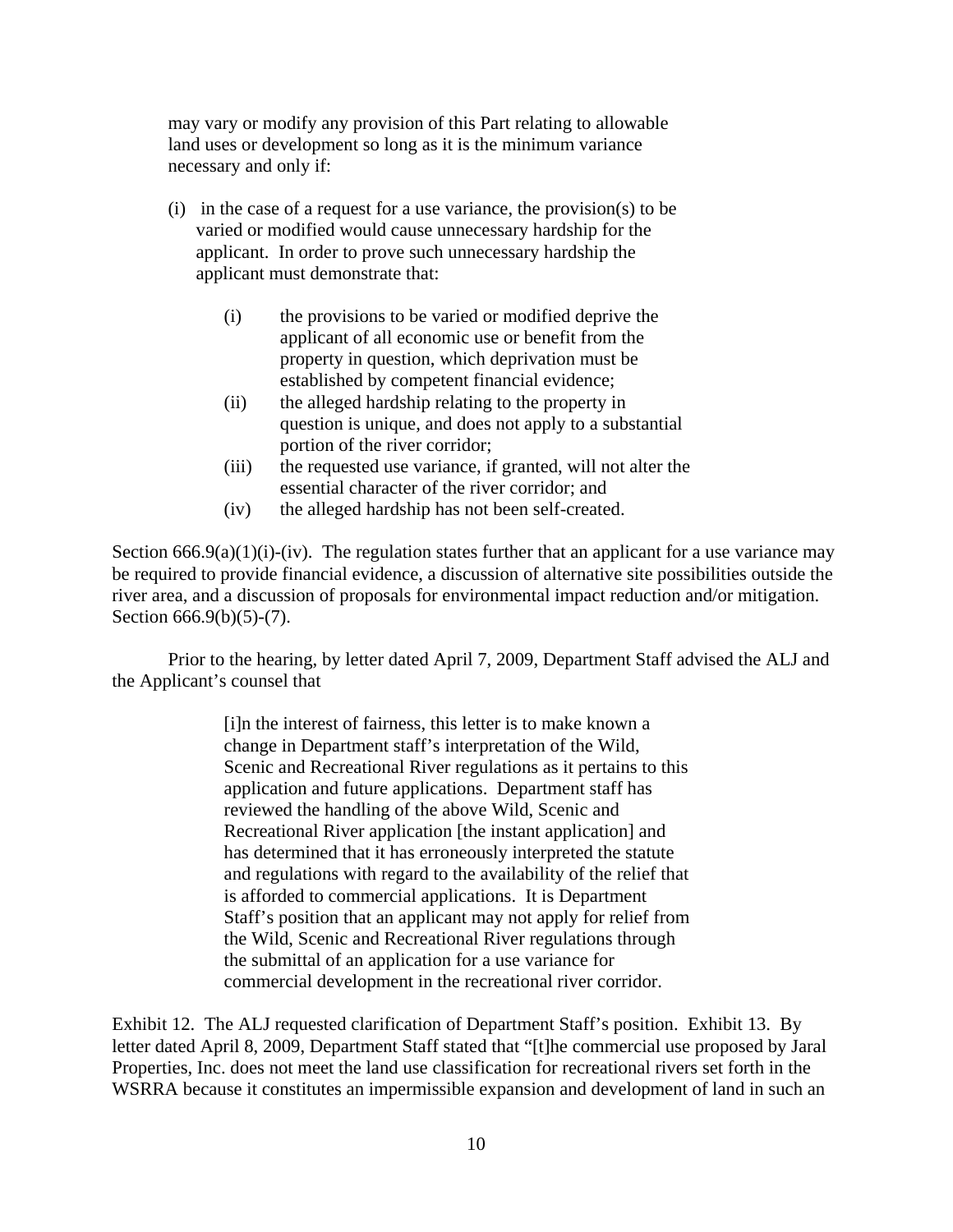may vary or modify any provision of this Part relating to allowable land uses or development so long as it is the minimum variance necessary and only if:

- (i) in the case of a request for a use variance, the provision(s) to be varied or modified would cause unnecessary hardship for the applicant. In order to prove such unnecessary hardship the applicant must demonstrate that:
	- (i) the provisions to be varied or modified deprive the applicant of all economic use or benefit from the property in question, which deprivation must be established by competent financial evidence;
	- (ii) the alleged hardship relating to the property in question is unique, and does not apply to a substantial portion of the river corridor;
	- (iii) the requested use variance, if granted, will not alter the essential character of the river corridor; and
	- (iv) the alleged hardship has not been self-created.

Section  $666.9(a)(1)(i)-(iv)$ . The regulation states further that an applicant for a use variance may be required to provide financial evidence, a discussion of alternative site possibilities outside the river area, and a discussion of proposals for environmental impact reduction and/or mitigation. Section 666.9(b)(5)-(7).

Prior to the hearing, by letter dated April 7, 2009, Department Staff advised the ALJ and the Applicant's counsel that

> [i]n the interest of fairness, this letter is to make known a change in Department staff's interpretation of the Wild, Scenic and Recreational River regulations as it pertains to this application and future applications. Department staff has reviewed the handling of the above Wild, Scenic and Recreational River application [the instant application] and has determined that it has erroneously interpreted the statute and regulations with regard to the availability of the relief that is afforded to commercial applications. It is Department Staff's position that an applicant may not apply for relief from the Wild, Scenic and Recreational River regulations through the submittal of an application for a use variance for commercial development in the recreational river corridor.

Exhibit 12. The ALJ requested clarification of Department Staff's position. Exhibit 13. By letter dated April 8, 2009, Department Staff stated that "[t]he commercial use proposed by Jaral Properties, Inc. does not meet the land use classification for recreational rivers set forth in the WSRRA because it constitutes an impermissible expansion and development of land in such an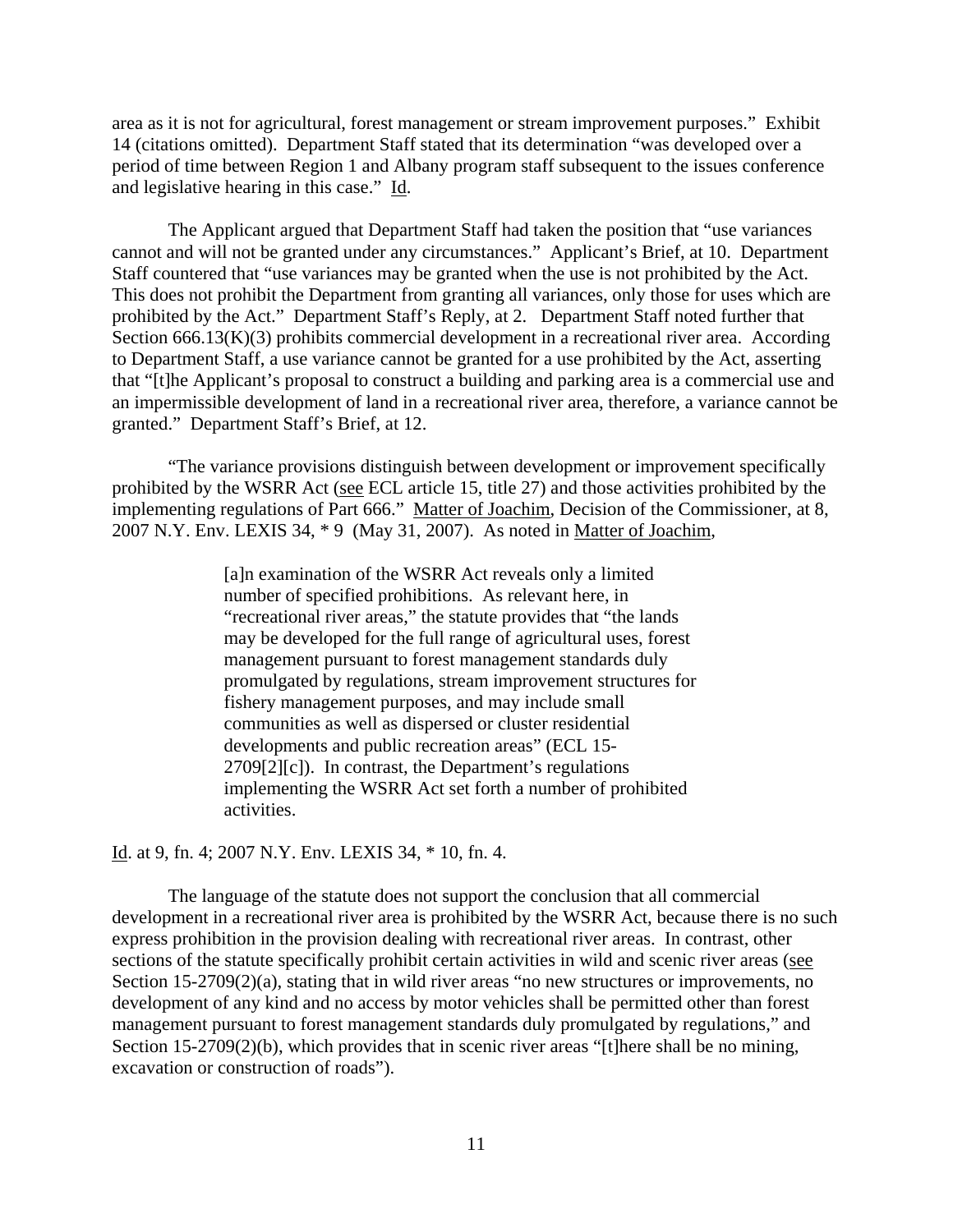area as it is not for agricultural, forest management or stream improvement purposes." Exhibit 14 (citations omitted). Department Staff stated that its determination "was developed over a period of time between Region 1 and Albany program staff subsequent to the issues conference and legislative hearing in this case." Id.

The Applicant argued that Department Staff had taken the position that "use variances cannot and will not be granted under any circumstances." Applicant's Brief, at 10. Department Staff countered that "use variances may be granted when the use is not prohibited by the Act. This does not prohibit the Department from granting all variances, only those for uses which are prohibited by the Act." Department Staff's Reply, at 2. Department Staff noted further that Section 666.13(K)(3) prohibits commercial development in a recreational river area. According to Department Staff, a use variance cannot be granted for a use prohibited by the Act, asserting that "[t]he Applicant's proposal to construct a building and parking area is a commercial use and an impermissible development of land in a recreational river area, therefore, a variance cannot be granted." Department Staff's Brief, at 12.

"The variance provisions distinguish between development or improvement specifically prohibited by the WSRR Act (see ECL article 15, title 27) and those activities prohibited by the implementing regulations of Part 666." Matter of Joachim, Decision of the Commissioner, at 8, 2007 N.Y. Env. LEXIS 34, \* 9 (May 31, 2007). As noted in Matter of Joachim,

> [a]n examination of the WSRR Act reveals only a limited number of specified prohibitions. As relevant here, in "recreational river areas," the statute provides that "the lands may be developed for the full range of agricultural uses, forest management pursuant to forest management standards duly promulgated by regulations, stream improvement structures for fishery management purposes, and may include small communities as well as dispersed or cluster residential developments and public recreation areas" (ECL 15- 2709[2][c]). In contrast, the Department's regulations implementing the WSRR Act set forth a number of prohibited activities.

Id. at 9, fn. 4; 2007 N.Y. Env. LEXIS 34, \* 10, fn. 4.

 The language of the statute does not support the conclusion that all commercial development in a recreational river area is prohibited by the WSRR Act, because there is no such express prohibition in the provision dealing with recreational river areas. In contrast, other sections of the statute specifically prohibit certain activities in wild and scenic river areas (see Section 15-2709(2)(a), stating that in wild river areas "no new structures or improvements, no development of any kind and no access by motor vehicles shall be permitted other than forest management pursuant to forest management standards duly promulgated by regulations," and Section 15-2709(2)(b), which provides that in scenic river areas "[t]here shall be no mining, excavation or construction of roads").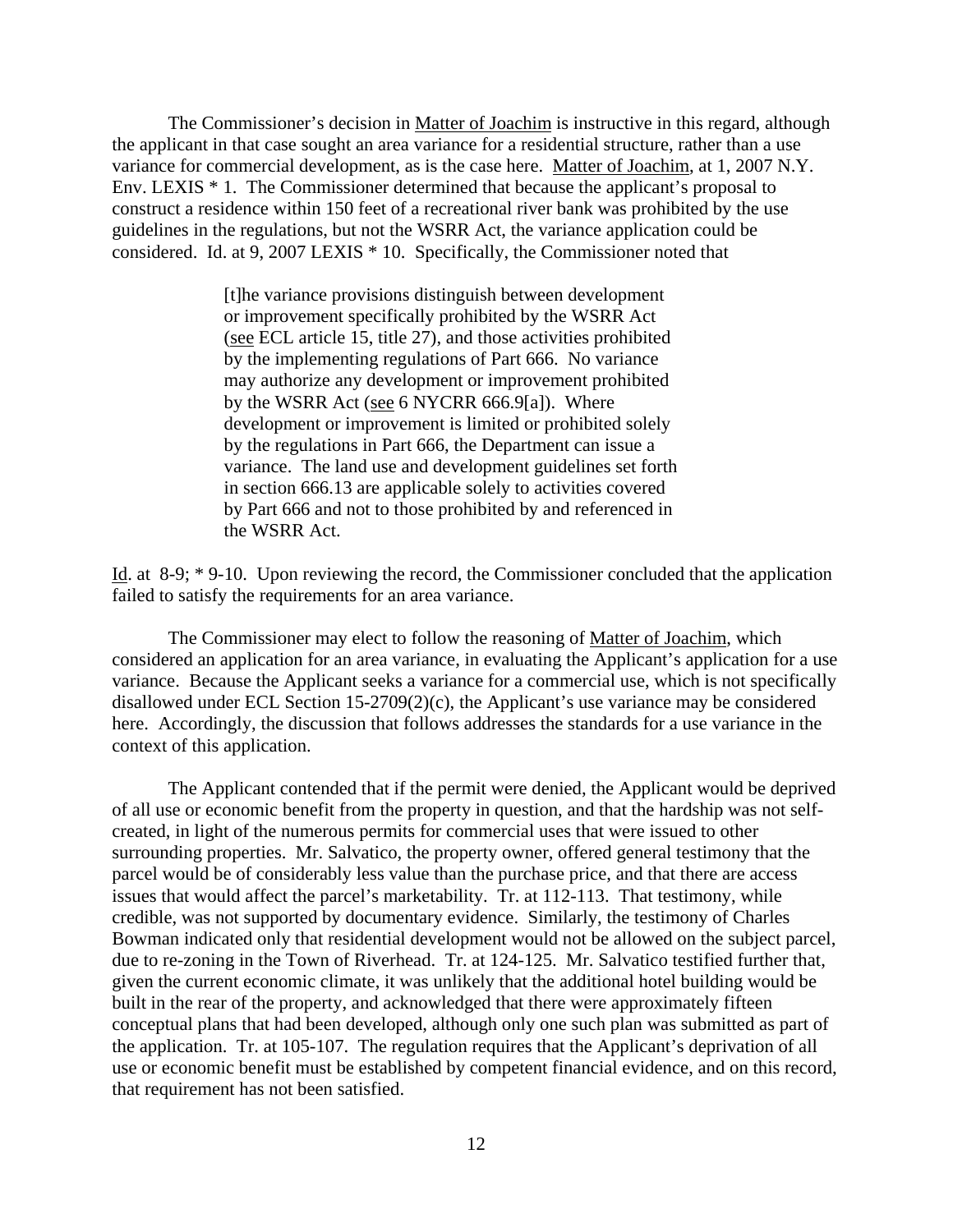The Commissioner's decision in Matter of Joachim is instructive in this regard, although the applicant in that case sought an area variance for a residential structure, rather than a use variance for commercial development, as is the case here. Matter of Joachim, at 1, 2007 N.Y. Env. LEXIS \* 1. The Commissioner determined that because the applicant's proposal to construct a residence within 150 feet of a recreational river bank was prohibited by the use guidelines in the regulations, but not the WSRR Act, the variance application could be considered. Id. at 9, 2007 LEXIS \* 10. Specifically, the Commissioner noted that

> [t]he variance provisions distinguish between development or improvement specifically prohibited by the WSRR Act (see ECL article 15, title 27), and those activities prohibited by the implementing regulations of Part 666. No variance may authorize any development or improvement prohibited by the WSRR Act (see 6 NYCRR 666.9[a]). Where development or improvement is limited or prohibited solely by the regulations in Part 666, the Department can issue a variance. The land use and development guidelines set forth in section 666.13 are applicable solely to activities covered by Part 666 and not to those prohibited by and referenced in the WSRR Act.

Id. at 8-9; \* 9-10. Upon reviewing the record, the Commissioner concluded that the application failed to satisfy the requirements for an area variance.

The Commissioner may elect to follow the reasoning of Matter of Joachim, which considered an application for an area variance, in evaluating the Applicant's application for a use variance. Because the Applicant seeks a variance for a commercial use, which is not specifically disallowed under ECL Section 15-2709(2)(c), the Applicant's use variance may be considered here. Accordingly, the discussion that follows addresses the standards for a use variance in the context of this application.

The Applicant contended that if the permit were denied, the Applicant would be deprived of all use or economic benefit from the property in question, and that the hardship was not selfcreated, in light of the numerous permits for commercial uses that were issued to other surrounding properties. Mr. Salvatico, the property owner, offered general testimony that the parcel would be of considerably less value than the purchase price, and that there are access issues that would affect the parcel's marketability. Tr. at 112-113. That testimony, while credible, was not supported by documentary evidence. Similarly, the testimony of Charles Bowman indicated only that residential development would not be allowed on the subject parcel, due to re-zoning in the Town of Riverhead. Tr. at 124-125. Mr. Salvatico testified further that, given the current economic climate, it was unlikely that the additional hotel building would be built in the rear of the property, and acknowledged that there were approximately fifteen conceptual plans that had been developed, although only one such plan was submitted as part of the application. Tr. at 105-107. The regulation requires that the Applicant's deprivation of all use or economic benefit must be established by competent financial evidence, and on this record, that requirement has not been satisfied.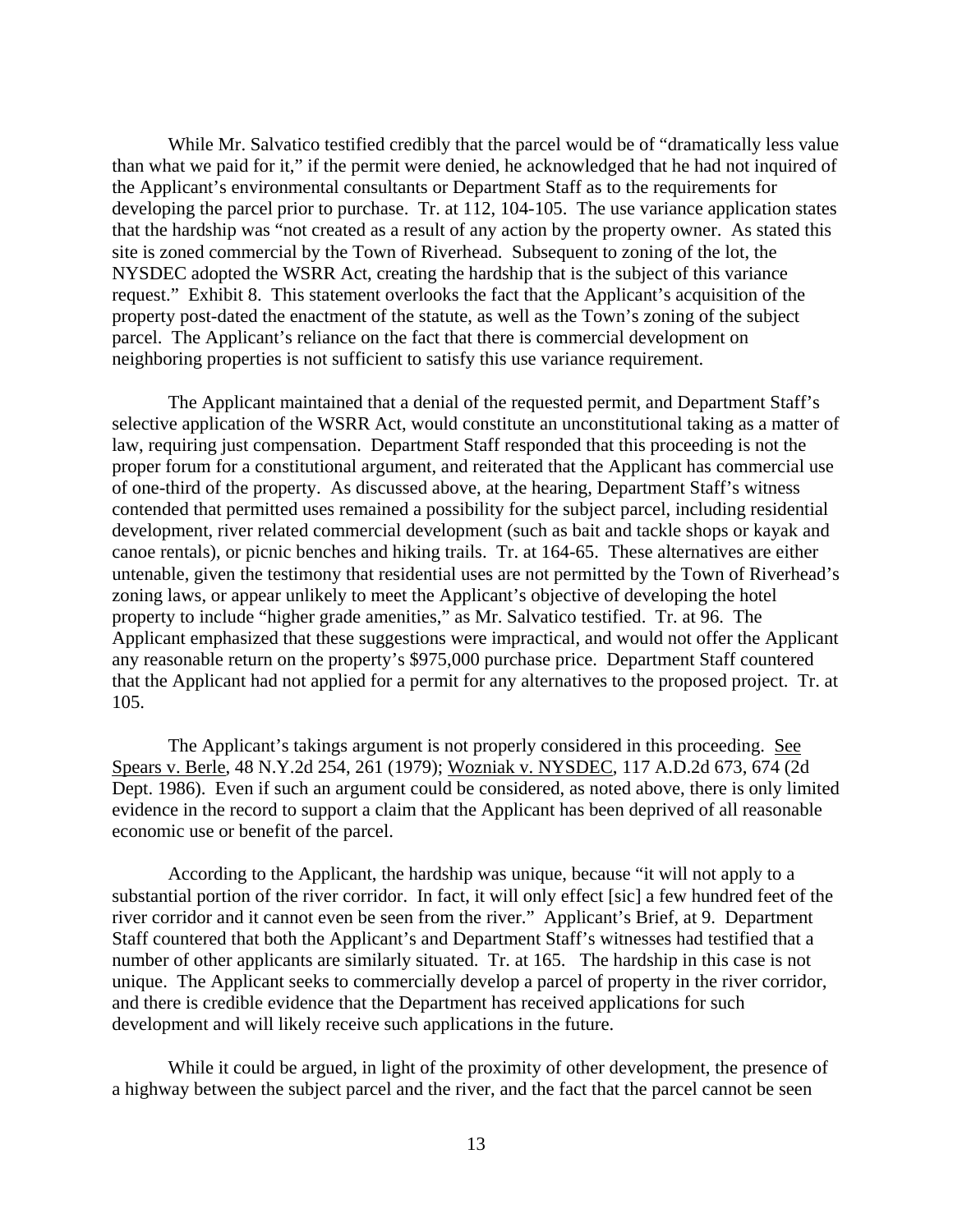While Mr. Salvatico testified credibly that the parcel would be of "dramatically less value than what we paid for it," if the permit were denied, he acknowledged that he had not inquired of the Applicant's environmental consultants or Department Staff as to the requirements for developing the parcel prior to purchase. Tr. at 112, 104-105. The use variance application states that the hardship was "not created as a result of any action by the property owner. As stated this site is zoned commercial by the Town of Riverhead. Subsequent to zoning of the lot, the NYSDEC adopted the WSRR Act, creating the hardship that is the subject of this variance request." Exhibit 8. This statement overlooks the fact that the Applicant's acquisition of the property post-dated the enactment of the statute, as well as the Town's zoning of the subject parcel. The Applicant's reliance on the fact that there is commercial development on neighboring properties is not sufficient to satisfy this use variance requirement.

The Applicant maintained that a denial of the requested permit, and Department Staff's selective application of the WSRR Act, would constitute an unconstitutional taking as a matter of law, requiring just compensation. Department Staff responded that this proceeding is not the proper forum for a constitutional argument, and reiterated that the Applicant has commercial use of one-third of the property. As discussed above, at the hearing, Department Staff's witness contended that permitted uses remained a possibility for the subject parcel, including residential development, river related commercial development (such as bait and tackle shops or kayak and canoe rentals), or picnic benches and hiking trails. Tr. at 164-65. These alternatives are either untenable, given the testimony that residential uses are not permitted by the Town of Riverhead's zoning laws, or appear unlikely to meet the Applicant's objective of developing the hotel property to include "higher grade amenities," as Mr. Salvatico testified. Tr. at 96. The Applicant emphasized that these suggestions were impractical, and would not offer the Applicant any reasonable return on the property's \$975,000 purchase price. Department Staff countered that the Applicant had not applied for a permit for any alternatives to the proposed project. Tr. at 105.

 The Applicant's takings argument is not properly considered in this proceeding. See Spears v. Berle, 48 N.Y.2d 254, 261 (1979); Wozniak v. NYSDEC, 117 A.D.2d 673, 674 (2d Dept. 1986). Even if such an argument could be considered, as noted above, there is only limited evidence in the record to support a claim that the Applicant has been deprived of all reasonable economic use or benefit of the parcel.

According to the Applicant, the hardship was unique, because "it will not apply to a substantial portion of the river corridor. In fact, it will only effect [sic] a few hundred feet of the river corridor and it cannot even be seen from the river." Applicant's Brief, at 9. Department Staff countered that both the Applicant's and Department Staff's witnesses had testified that a number of other applicants are similarly situated. Tr. at 165. The hardship in this case is not unique. The Applicant seeks to commercially develop a parcel of property in the river corridor, and there is credible evidence that the Department has received applications for such development and will likely receive such applications in the future.

While it could be argued, in light of the proximity of other development, the presence of a highway between the subject parcel and the river, and the fact that the parcel cannot be seen